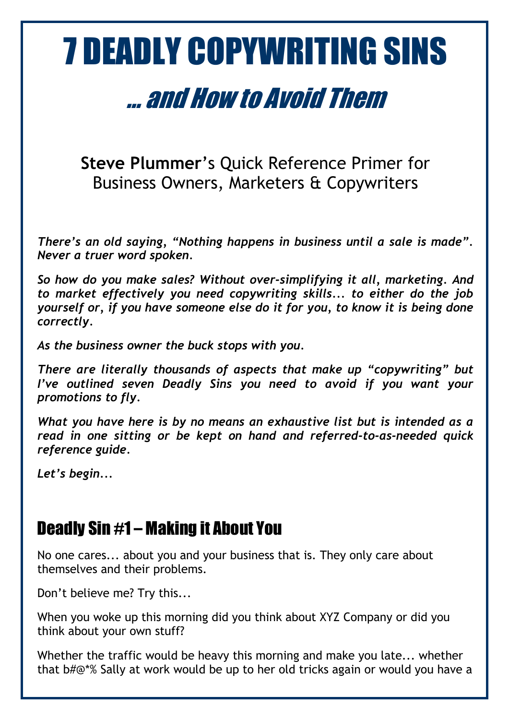# 7 DEADLY COPYWRITING SINS

# ... and How to Avoid Them

**Steve Plummer**'s Quick Reference Primer for Business Owners, Marketers & Copywriters

*There's an old saying, "Nothing happens in business until a sale is made". Never a truer word spoken.*

*So how do you make sales? Without over-simplifying it all, marketing. And to market effectively you need copywriting skills... to either do the job yourself or, if you have someone else do it for you, to know it is being done correctly.* 

*As the business owner the buck stops with you.* 

*There are literally thousands of aspects that make up "copywriting" but I've outlined seven Deadly Sins you need to avoid if you want your promotions to fly.*

*What you have here is by no means an exhaustive list but is intended as a read in one sitting or be kept on hand and referred-to-as-needed quick reference guide.*

*Let's begin...*

## Deadly Sin #1 – Making it About You

No one cares... about you and your business that is. They only care about themselves and their problems.

Don't believe me? Try this...

When you woke up this morning did you think about XYZ Company or did you think about your own stuff?

Whether the traffic would be heavy this morning and make you late... whether that b#@\*% Sally at work would be up to her old tricks again or would you have a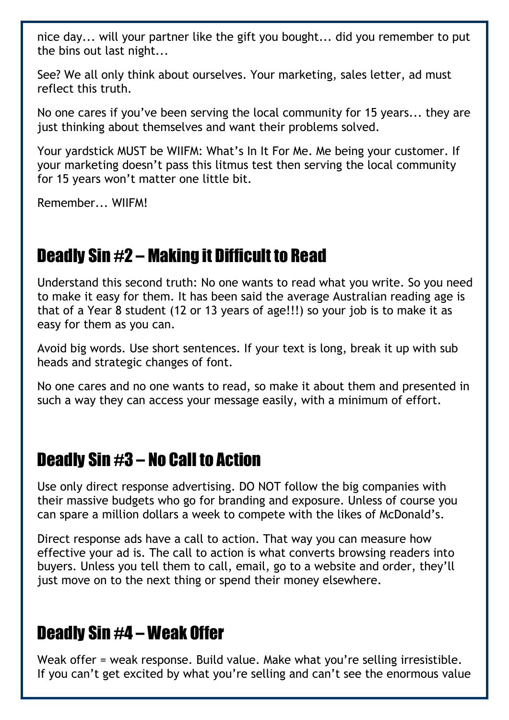nice day... will your partner like the gift you bought... did you remember to put the bins out last night...

See? We all only think about ourselves. Your marketing, sales letter, ad must reflect this truth.

No one cares if you've been serving the local community for 15 years... they are just thinking about themselves and want their problems solved.

Your yardstick MUST be WIIFM: What's In It For Me. Me being your customer. If your marketing doesn't pass this litmus test then serving the local community for 15 years won't matter one little bit.

Remember... WIIFM!

### Deadly Sin #2 – Making it Difficult to Read

Understand this second truth: No one wants to read what you write. So you need to make it easy for them. It has been said the average Australian reading age is that of a Year 8 student (12 or 13 years of age!!!) so your job is to make it as easy for them as you can.

Avoid big words. Use short sentences. If your text is long, break it up with sub heads and strategic changes of font.

No one cares and no one wants to read, so make it about them and presented in such a way they can access your message easily, with a minimum of effort.

#### Deadly Sin #3 – No Call to Action

Use only direct response advertising. DO NOT follow the big companies with their massive budgets who go for branding and exposure. Unless of course you can spare a million dollars a week to compete with the likes of McDonald's.

Direct response ads have a call to action. That way you can measure how effective your ad is. The call to action is what converts browsing readers into buyers. Unless you tell them to call, email, go to a website and order, they'll just move on to the next thing or spend their money elsewhere.

#### Deadly Sin #4 – Weak Offer

Weak offer = weak response. Build value. Make what you're selling irresistible. If you can't get excited by what you're selling and can't see the enormous value